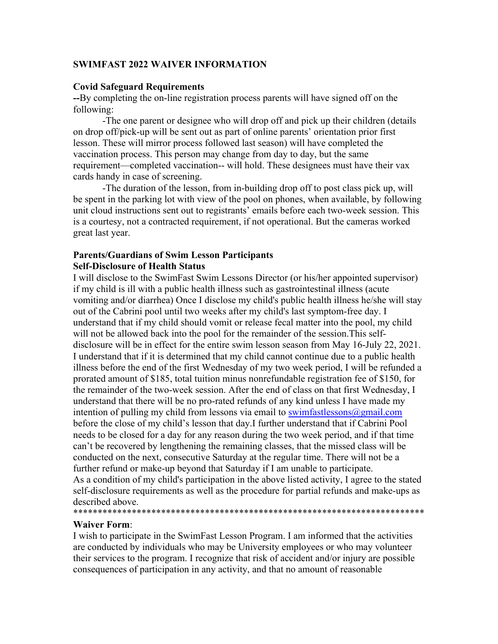# **SWIMFAST 2022 WAIVER INFORMATION**

## **Covid Safeguard Requirements**

**--**By completing the on-line registration process parents will have signed off on the following:

-The one parent or designee who will drop off and pick up their children (details on drop off/pick-up will be sent out as part of online parents' orientation prior first lesson. These will mirror process followed last season) will have completed the vaccination process. This person may change from day to day, but the same requirement—completed vaccination-- will hold. These designees must have their vax cards handy in case of screening.

-The duration of the lesson, from in-building drop off to post class pick up, will be spent in the parking lot with view of the pool on phones, when available, by following unit cloud instructions sent out to registrants' emails before each two-week session. This is a courtesy, not a contracted requirement, if not operational. But the cameras worked great last year.

#### **Parents/Guardians of Swim Lesson Participants Self-Disclosure of Health Status**

I will disclose to the SwimFast Swim Lessons Director (or his/her appointed supervisor) if my child is ill with a public health illness such as gastrointestinal illness (acute vomiting and/or diarrhea) Once I disclose my child's public health illness he/she will stay out of the Cabrini pool until two weeks after my child's last symptom-free day. I understand that if my child should vomit or release fecal matter into the pool, my child will not be allowed back into the pool for the remainder of the session.This selfdisclosure will be in effect for the entire swim lesson season from May 16-July 22, 2021. I understand that if it is determined that my child cannot continue due to a public health illness before the end of the first Wednesday of my two week period, I will be refunded a prorated amount of \$185, total tuition minus nonrefundable registration fee of \$150, for the remainder of the two-week session. After the end of class on that first Wednesday, I understand that there will be no pro-rated refunds of any kind unless I have made my intention of pulling my child from lessons via email to swimfastlessons $\omega$ gmail.com before the close of my child's lesson that day.I further understand that if Cabrini Pool needs to be closed for a day for any reason during the two week period, and if that time can't be recovered by lengthening the remaining classes, that the missed class will be conducted on the next, consecutive Saturday at the regular time. There will not be a further refund or make-up beyond that Saturday if I am unable to participate. As a condition of my child's participation in the above listed activity, I agree to the stated self-disclosure requirements as well as the procedure for partial refunds and make-ups as described above.

# \*\*\*\*\*\*\*\*\*\*\*\*\*\*\*\*\*\*\*\*\*\*\*\*\*\*\*\*\*\*\*\*\*\*\*\*\*\*\*\*\*\*\*\*\*\*\*\*\*\*\*\*\*\*\*\*\*\*\*\*\*\*\*\*\*\*\*\*\*\*\*\*

## **Waiver Form**:

I wish to participate in the SwimFast Lesson Program. I am informed that the activities are conducted by individuals who may be University employees or who may volunteer their services to the program. I recognize that risk of accident and/or injury are possible consequences of participation in any activity, and that no amount of reasonable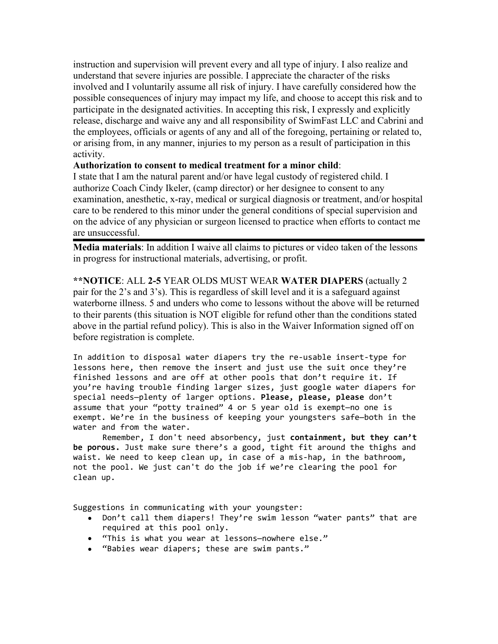instruction and supervision will prevent every and all type of injury. I also realize and understand that severe injuries are possible. I appreciate the character of the risks involved and I voluntarily assume all risk of injury. I have carefully considered how the possible consequences of injury may impact my life, and choose to accept this risk and to participate in the designated activities. In accepting this risk, I expressly and explicitly release, discharge and waive any and all responsibility of SwimFast LLC and Cabrini and the employees, officials or agents of any and all of the foregoing, pertaining or related to, or arising from, in any manner, injuries to my person as a result of participation in this activity.

# **Authorization to consent to medical treatment for a minor child**:

I state that I am the natural parent and/or have legal custody of registered child. I authorize Coach Cindy Ikeler, (camp director) or her designee to consent to any examination, anesthetic, x-ray, medical or surgical diagnosis or treatment, and/or hospital care to be rendered to this minor under the general conditions of special supervision and on the advice of any physician or surgeon licensed to practice when efforts to contact me are unsuccessful.

**Media materials**: In addition I waive all claims to pictures or video taken of the lessons in progress for instructional materials, advertising, or profit.

**\*\*NOTICE**: ALL **2-5** YEAR OLDS MUST WEAR **WATER DIAPERS** (actually 2 pair for the 2's and 3's). This is regardless of skill level and it is a safeguard against waterborne illness. 5 and unders who come to lessons without the above will be returned to their parents (this situation is NOT eligible for refund other than the conditions stated above in the partial refund policy). This is also in the Waiver Information signed off on before registration is complete.

In addition to disposal water diapers try the re-usable insert-type for lessons here, then remove the insert and just use the suit once they're finished lessons and are off at other pools that don't require it. If you're having trouble finding larger sizes, just google water diapers for special needs—plenty of larger options. **Please, please, please** don't assume that your "potty trained" 4 or 5 year old is exempt—no one is exempt. We're in the business of keeping your youngsters safe—both in the water and from the water.

Remember, I don't need absorbency, just **containment, but they can't be porous.** Just make sure there's a good, tight fit around the thighs and waist. We need to keep clean up, in case of a mis-hap, in the bathroom, not the pool. We just can't do the job if we're clearing the pool for clean up.

Suggestions in communicating with your youngster:

- Don't call them diapers! They're swim lesson "water pants" that are required at this pool only. required at this pool only.
- "This is what you wear at lessons—nowhere else."
- "Babies wear diapers; these are swim pants."